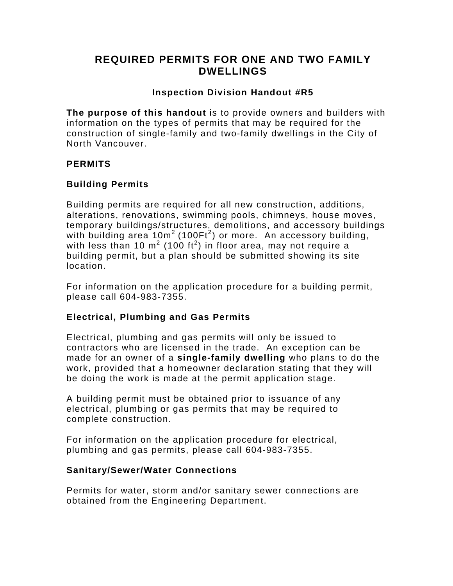# **REQUIRED PERMITS FOR ONE AND TWO FAMILY DWELLINGS**

## **Inspection Division Handout #R5**

**The purpose of this handout** is to provide owners and builders with information on the types of permits that may be required for the construction of single-family and two-family dwellings in the City of North Vancouver.

## **PERMITS**

## **Building Permits**

Building permits are required for all new construction, additions, alterations, renovations, swimming pools, chimneys, house moves, temporary buildings/structures, demolitions, and accessory buildings with building area 10m<sup>2</sup> (100Ft<sup>2</sup>) or more. An accessory building, with less than 10 m<sup>2</sup> (100 ft<sup>2</sup>) in floor area, may not require a building permit, but a plan should be submitted showing its site location.

For information on the application procedure for a building permit, please call 604-983-7355.

## **Electrical, Plumbing and Gas Permits**

Electrical, plumbing and gas permits will only be issued to contractors who are licensed in the trade. An exception can be made for an owner of a **single-family dwelling** who plans to do the work, provided that a homeowner declaration stating that they will be doing the work is made at the permit application stage.

A building permit must be obtained prior to issuance of any electrical, plumbing or gas permits that may be required to complete construction.

For information on the application procedure for electrical, plumbing and gas permits, please call 604-983-7355.

## **Sanitary/Sewer/Water Connections**

Permits for water, storm and/or sanitary sewer connections are obtained from the Engineering Department.